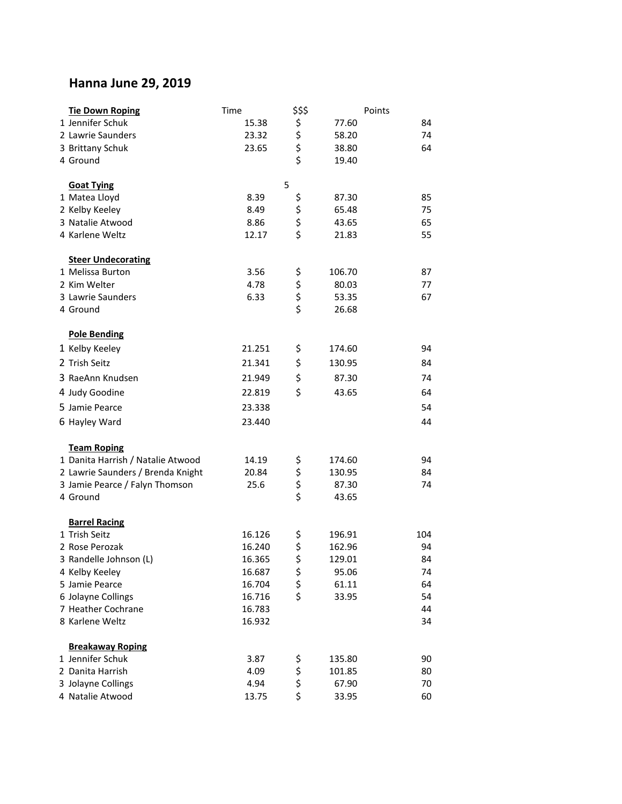## **Hanna June 29, 2019**

| <b>Tie Down Roping</b>            | Time   | \$\$\$      | Points |     |
|-----------------------------------|--------|-------------|--------|-----|
| 1 Jennifer Schuk                  | 15.38  |             | 77.60  | 84  |
| 2 Lawrie Saunders                 | 23.32  |             | 58.20  | 74  |
| 3 Brittany Schuk                  | 23.65  | \$ \$ \$ \$ | 38.80  | 64  |
| 4 Ground                          |        |             | 19.40  |     |
| <b>Goat Tying</b>                 |        | 5           |        |     |
| 1 Matea Lloyd                     | 8.39   |             | 87.30  | 85  |
| 2 Kelby Keeley                    | 8.49   |             | 65.48  | 75  |
| 3 Natalie Atwood                  | 8.86   | \$ \$ \$ \$ | 43.65  | 65  |
| 4 Karlene Weltz                   | 12.17  |             | 21.83  | 55  |
| <b>Steer Undecorating</b>         |        |             |        |     |
| 1 Melissa Burton                  | 3.56   |             | 106.70 | 87  |
| 2 Kim Welter                      | 4.78   | \$ \$ \$ \$ | 80.03  | 77  |
| 3 Lawrie Saunders                 | 6.33   |             | 53.35  | 67  |
| 4 Ground                          |        |             | 26.68  |     |
| <b>Pole Bending</b>               |        |             |        |     |
| 1 Kelby Keeley                    | 21.251 | \$          | 174.60 | 94  |
| 2 Trish Seitz                     | 21.341 | \$          | 130.95 | 84  |
| 3 RaeAnn Knudsen                  | 21.949 | \$          | 87.30  | 74  |
| 4 Judy Goodine                    | 22.819 | \$          | 43.65  | 64  |
| 5 Jamie Pearce                    | 23.338 |             |        | 54  |
| 6 Hayley Ward                     | 23.440 |             |        | 44  |
| <b>Team Roping</b>                |        |             |        |     |
| 1 Danita Harrish / Natalie Atwood | 14.19  |             | 174.60 | 94  |
| 2 Lawrie Saunders / Brenda Knight | 20.84  |             | 130.95 | 84  |
| 3 Jamie Pearce / Falyn Thomson    | 25.6   | ららさ         | 87.30  | 74  |
| 4 Ground                          |        |             | 43.65  |     |
| <b>Barrel Racing</b>              |        |             |        |     |
| 1 Trish Seitz                     | 16.126 | \$          | 196.91 | 104 |
| 2 Rose Perozak                    | 16.240 | \$          | 162.96 | 94  |
| 3 Randelle Johnson (L)            | 16.365 | \$          | 129.01 | 84  |
| 4 Kelby Keeley                    | 16.687 |             | 95.06  | 74  |
| 5 Jamie Pearce                    | 16.704 | \$ \$ \$    | 61.11  | 64  |
| 6 Jolayne Collings                | 16.716 |             | 33.95  | 54  |
| 7 Heather Cochrane                | 16.783 |             |        | 44  |
| 8 Karlene Weltz                   | 16.932 |             |        | 34  |
| <b>Breakaway Roping</b>           |        |             |        |     |
| 1 Jennifer Schuk                  | 3.87   |             | 135.80 | 90  |
| 2 Danita Harrish                  | 4.09   | \$ \$ \$ \$ | 101.85 | 80  |
| 3 Jolayne Collings                | 4.94   |             | 67.90  | 70  |
| 4 Natalie Atwood                  | 13.75  |             | 33.95  | 60  |